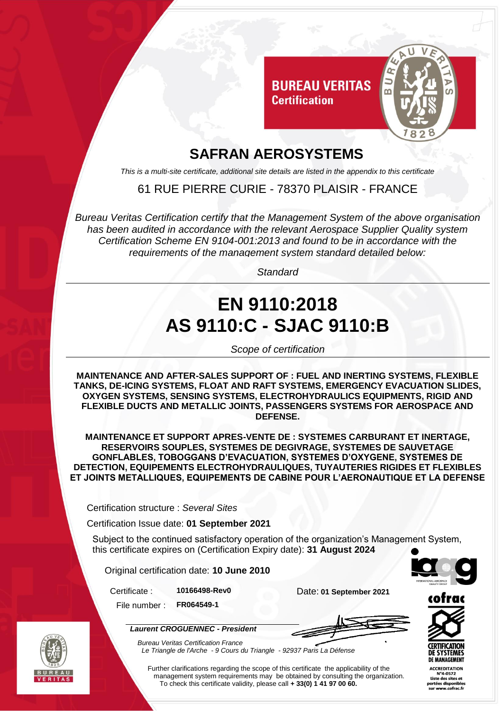

# **SAFRAN AEROSYSTEMS**

*This is a multi-site certificate, additional site details are listed in the appendix to this certificate*

61 RUE PIERRE CURIE - 78370 PLAISIR - FRANCE

*Bureau Veritas Certification certify that the Management System of the above organisation has been audited in accordance with the relevant Aerospace Supplier Quality system Certification Scheme EN 9104-001:2013 and found to be in accordance with the requirements of the management system standard detailed below:*

*Standard*

# **EN 9110:2018 AS 9110:C - SJAC 9110:B**

*Scope of certification*

**MAINTENANCE AND AFTER-SALES SUPPORT OF : FUEL AND INERTING SYSTEMS, FLEXIBLE TANKS, DE-ICING SYSTEMS, FLOAT AND RAFT SYSTEMS, EMERGENCY EVACUATION SLIDES, OXYGEN SYSTEMS, SENSING SYSTEMS, ELECTROHYDRAULICS EQUIPMENTS, RIGID AND FLEXIBLE DUCTS AND METALLIC JOINTS, PASSENGERS SYSTEMS FOR AEROSPACE AND DEFENSE.**

**MAINTENANCE ET SUPPORT APRES-VENTE DE : SYSTEMES CARBURANT ET INERTAGE, RESERVOIRS SOUPLES, SYSTEMES DE DEGIVRAGE, SYSTEMES DE SAUVETAGE GONFLABLES, TOBOGGANS D'EVACUATION, SYSTEMES D'OXYGENE, SYSTEMES DE DETECTION, EQUIPEMENTS ELECTROHYDRAULIQUES, TUYAUTERIES RIGIDES ET FLEXIBLES ET JOINTS METALLIQUES, EQUIPEMENTS DE CABINE POUR L'AERONAUTIQUE ET LA DEFENSE**

Certification structure : *Several Sites*

Certification Issue date: **01 September 2021**

Subject to the continued satisfactory operation of the organization's Management System, this certificate expires on (Certification Expiry date): **31 August 2024**

Original certification date: **10 June 2010**

*Laurent CROGUENNEC - President*

Certificate : **10166498-Rev0** Date: **01 September 2021**

File number : **FR064549-1**





*Bureau Veritas Certification France Le Triangle de l'Arche - 9 Cours du Triangle - 92937 Paris La Défense* 

Further clarifications regarding the scope of this certificate the applicability of the management system requirements may be obtained by consulting the organization. To check this certificate validity, please call **+ 33(0) 1 41 97 00 60.**

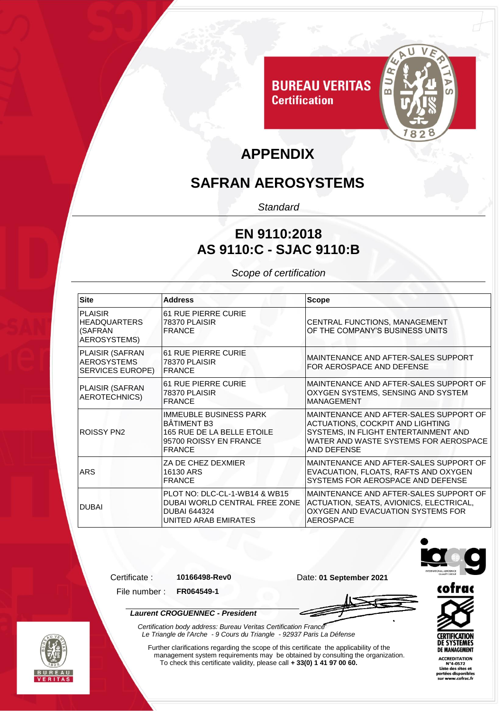

# **APPENDIX**

**Certification** 

## **SAFRAN AEROSYSTEMS**

*Standard*

#### **EN 9110:2018 AS 9110:C - SJAC 9110:B**

*Scope of certification*

| <b>Site</b>                                               | <b>Address</b>                                                                                                               | <b>Scope</b>                                                                                                                                                               |
|-----------------------------------------------------------|------------------------------------------------------------------------------------------------------------------------------|----------------------------------------------------------------------------------------------------------------------------------------------------------------------------|
| PLAISIR<br><b>HEADQUARTERS</b><br>(SAFRAN<br>AEROSYSTEMS) | <b>61 RUE PIERRE CURIE</b><br>78370 PLAISIR<br><b>FRANCE</b>                                                                 | CENTRAL FUNCTIONS, MANAGEMENT<br>OF THE COMPANY'S BUSINESS UNITS                                                                                                           |
| PLAISIR (SAFRAN<br><b>AEROSYSTEMS</b><br>SERVICES EUROPE) | <b>61 RUE PIERRE CURIE</b><br>78370 PLAISIR<br><b>IFRANCE</b>                                                                | MAINTENANCE AND AFTER-SALES SUPPORT<br>FOR AEROSPACE AND DEFENSE                                                                                                           |
| <b>PLAISIR (SAFRAN</b><br>AEROTECHNICS)                   | <b>61 RUE PIERRE CURIE</b><br>78370 PLAISIR<br><b>FRANCE</b>                                                                 | MAINTENANCE AND AFTER-SALES SUPPORT OF<br>OXYGEN SYSTEMS, SENSING AND SYSTEM<br><b>MANAGEMENT</b>                                                                          |
| <b>ROISSY PN2</b>                                         | <b>IMMEUBLE BUSINESS PARK</b><br><b>BÂTIMENT B3</b><br>165 RUE DE LA BELLE ETOILE<br>95700 ROISSY EN FRANCE<br><b>FRANCE</b> | MAINTENANCE AND AFTER-SALES SUPPORT OF<br>ACTUATIONS, COCKPIT AND LIGHTING<br>SYSTEMS, IN FLIGHT ENTERTAINMENT AND<br>WATER AND WASTE SYSTEMS FOR AEROSPACE<br>AND DEFENSE |
| <b>ARS</b>                                                | ZA DE CHEZ DEXMIER<br>16130 ARS<br><b>FRANCE</b>                                                                             | MAINTENANCE AND AFTER-SALES SUPPORT OF<br>EVACUATION, FLOATS, RAFTS AND OXYGEN<br>SYSTEMS FOR AEROSPACE AND DEFENSE                                                        |
| <b>DUBAI</b>                                              | PLOT NO: DLC-CL-1-WB14 & WB15<br>DUBAI WORLD CENTRAL FREE ZONE<br><b>DUBAI 644324</b><br>UNITED ARAB EMIRATES                | MAINTENANCE AND AFTER-SALES SUPPORT OF<br>ACTUATION, SEATS, AVIONICS, ELECTRICAL,<br>OXYGEN AND EVACUATION SYSTEMS FOR<br>AEROSPACE                                        |



Certificate : **10166498-Rev0** Date: **01 September 2021**



File number : **FR064549-1**

*Laurent CROGUENNEC - President*





Further clarifications regarding the scope of this certificate the applicability of the management system requirements may be obtained by consulting the organization. To check this certificate validity, please call **+ 33(0) 1 41 97 00 60.**

*Certification body address: Bureau Veritas Certification France*

*Le Triangle de l'Arche - 9 Cours du Triangle - 92937 Paris La Défense* 



**CERTIFICATION**<br>DE SYSTEMES **DE MANAGEMENT**